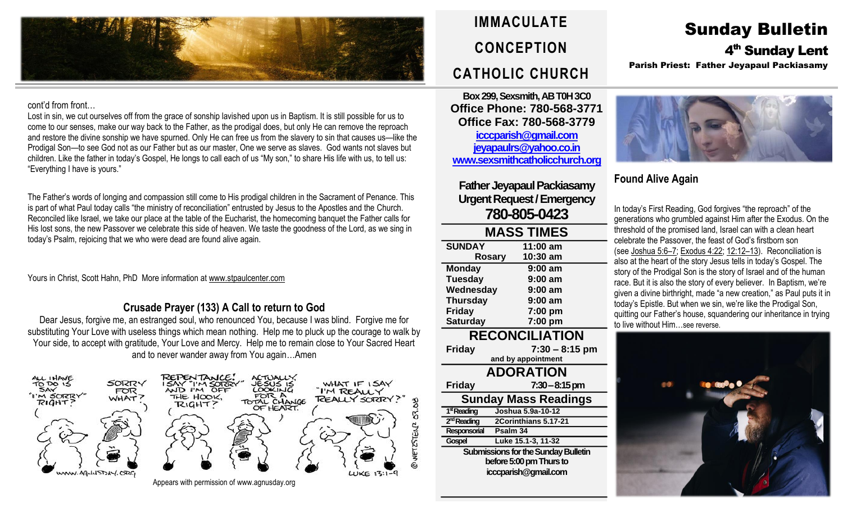

#### cont'd from front…

Lost in sin, we cut ourselves off from the grace of sonship lavished upon us in Baptism. It is still possible for us to come to our senses, make our way back to the Father, as the prodigal does, but only He can remove the reproach and restore the divine sonship we have spurned. Only He can free us from the slavery to sin that causes us—like the Prodigal Son—to see God not as our Father but as our master, One we serve as slaves. God wants not slaves but children. Like the father in today's Gospel, He longs to call each of us "My son," to share His life with us, to tell us: "Everything I have is yours."

The Father's words of longing and compassion still come to His prodigal children in the Sacrament of Penance. This is part of what Paul today calls "the ministry of reconciliation" entrusted by Jesus to the Apostles and the Church. Reconciled like Israel, we take our place at the table of the Eucharist, the homecoming banquet the Father calls for His lost sons, the new Passover we celebrate this side of heaven. We taste the goodness of the Lord, as we sing in today's Psalm, rejoicing that we who were dead are found alive again.

Yours in Christ, Scott Hahn, PhD More information a[t www.stpaulcenter.com](http://www.stpaulcenter.com/)

## **Crusade Prayer (133) A Call to return to God**

Dear Jesus, forgive me, an estranged soul, who renounced You, because I was blind. Forgive me for substituting Your Love with useless things which mean nothing. Help me to pluck up the courage to walk by Your side, to accept with gratitude, Your Love and Mercy. Help me to remain close to Your Sacred Heart and to never wander away from You again…Amen



**IMMACULATE CONCEPTION CATHOLIC CHURCH**

**Box 299, Sexsmith, AB T0H 3C0 Office Phone: 780-568-3771 Office Fax: 780-568-3779 [icccparish@gmail.com](mailto:icccparish@gmail.com) [jeyapaulrs@yahoo.co.in](mailto:jeyapaulrs@yahoo.co.in) [www.sexsmithcatholicchurch.org](http://www.sexsmithcatholicchurch.org/)**

**Father Jeyapaul Packiasamy Urgent Request/Emergency 780-805-0423**

| <b>MASS TIMES</b>     |           |  |  |
|-----------------------|-----------|--|--|
| <b>SUNDAY</b>         | 11:00 am  |  |  |
| <b>Rosary</b>         | 10:30 am  |  |  |
| <b>Monday</b>         | $9:00$ am |  |  |
| <b>Tuesday</b>        | $9:00$ am |  |  |
| Wednesday             | 9:00 am   |  |  |
| <b>Thursday</b>       | $9:00$ am |  |  |
| <b>Friday</b>         | 7:00 pm   |  |  |
| <b>Saturday</b>       | 7:00 pm   |  |  |
| <b>RECONCILIATION</b> |           |  |  |
| .                     |           |  |  |

**Friday 7:30 – 8:15 pm and by appointment ADORATION Friday 7:30–8:15 pm Sunday Mass Readings** 1<sup>st</sup> Reading **stReading Joshua 5.9a-10-12** 2<sup>nd</sup> Reading **ndReading 2Corinthians 5.17-21 Responsorial Psalm 34 Gospel Luke 15.1-3, 11-32 Submissions for the Sunday Bulletin before 5:00 pm Thursto icccparish@gmail.com**

# Sunday Bulletin 4<sup>th</sup> Sunday Lent Parish Priest: Father Jeyapaul Packiasamy



# **Found Alive Again**

In today's First Reading, God forgives "the reproach" of the generations who grumbled against Him after the Exodus. On the threshold of the promised land, Israel can with a clean heart celebrate the Passover, the feast of God's firstborn son (see [Joshua](https://biblia.com/bible/rsvce/Josh%205.6%E2%80%937) 5:6–7; [Exodus](https://biblia.com/bible/rsvce/Exod%204.22) 4:22; [12:12](https://biblia.com/bible/rsvce/Exodus%2012.12%E2%80%9313)–13). Reconciliation is also at the heart of the story Jesus tells in today's Gospel. The story of the Prodigal Son is the story of Israel and of the human race. But it is also the story of every believer. In Baptism, we're given a divine birthright, made "a new creation," as Paul puts it in today's Epistle. But when we sin, we're like the Prodigal Son, quitting our Father's house, squandering our inheritance in trying to live without Him…see reverse.